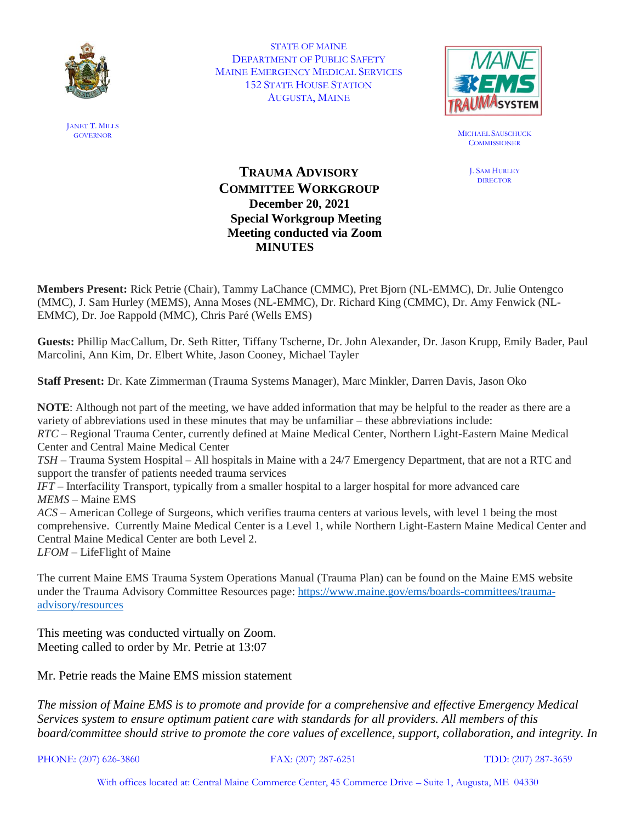

STATE OF MAINE DEPARTMENT OF PUBLIC SAFETY MAINE EMERGENCY MEDICAL SERVICES 152 STATE HOUSE STATION AUGUSTA, MAINE



GOVERNOR MICHAEL SAUSCHUCK **COMMISSIONER** 

> J. SAM HURLEY **DIRECTOR**

## **TRAUMA ADVISORY COMMITTEE WORKGROUP December 20, 2021 Special Workgroup Meeting Meeting conducted via Zoom MINUTES**

**Members Present:** Rick Petrie (Chair), Tammy LaChance (CMMC), Pret Bjorn (NL-EMMC), Dr. Julie Ontengco (MMC), J. Sam Hurley (MEMS), Anna Moses (NL-EMMC), Dr. Richard King (CMMC), Dr. Amy Fenwick (NL-EMMC), Dr. Joe Rappold (MMC), Chris Paré (Wells EMS)

**Guests:** Phillip MacCallum, Dr. Seth Ritter, Tiffany Tscherne, Dr. John Alexander, Dr. Jason Krupp, Emily Bader, Paul Marcolini, Ann Kim, Dr. Elbert White, Jason Cooney, Michael Tayler

**Staff Present:** Dr. Kate Zimmerman (Trauma Systems Manager), Marc Minkler, Darren Davis, Jason Oko

**NOTE**: Although not part of the meeting, we have added information that may be helpful to the reader as there are a variety of abbreviations used in these minutes that may be unfamiliar – these abbreviations include: *RTC* – Regional Trauma Center, currently defined at Maine Medical Center, Northern Light-Eastern Maine Medical Center and Central Maine Medical Center *TSH* – Trauma System Hospital – All hospitals in Maine with a 24/7 Emergency Department, that are not a RTC and support the transfer of patients needed trauma services *IFT* – Interfacility Transport, typically from a smaller hospital to a larger hospital for more advanced care *MEMS* – Maine EMS *ACS* – American College of Surgeons, which verifies trauma centers at various levels, with level 1 being the most comprehensive. Currently Maine Medical Center is a Level 1, while Northern Light-Eastern Maine Medical Center and Central Maine Medical Center are both Level 2.

*LFOM* – LifeFlight of Maine

The current Maine EMS Trauma System Operations Manual (Trauma Plan) can be found on the Maine EMS website under the Trauma Advisory Committee Resources page: [https://www.maine.gov/ems/boards-committees/trauma](https://www.maine.gov/ems/boards-committees/trauma-advisory/resources)[advisory/resources](https://www.maine.gov/ems/boards-committees/trauma-advisory/resources)

This meeting was conducted virtually on Zoom. Meeting called to order by Mr. Petrie at 13:07

Mr. Petrie reads the Maine EMS mission statement

*The mission of Maine EMS is to promote and provide for a comprehensive and effective Emergency Medical Services system to ensure optimum patient care with standards for all providers. All members of this board/committee should strive to promote the core values of excellence, support, collaboration, and integrity. In* 

PHONE: (207) 626-3860 FAX: (207) 287-6251 TDD: (207) 287-3659

With offices located at: Central Maine Commerce Center, 45 Commerce Drive – Suite 1, Augusta, ME 04330

JANET T. MILLS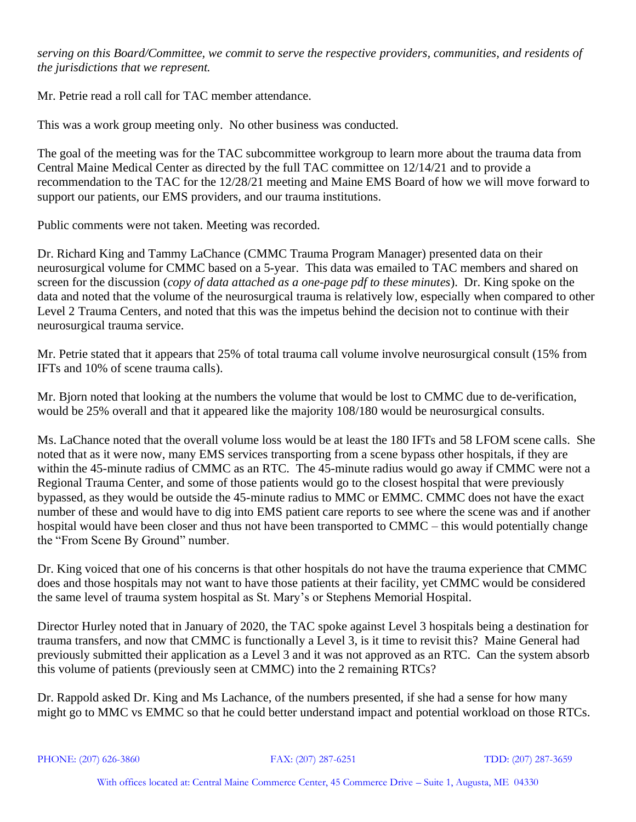*serving on this Board/Committee, we commit to serve the respective providers, communities, and residents of the jurisdictions that we represent.*

Mr. Petrie read a roll call for TAC member attendance.

This was a work group meeting only. No other business was conducted.

The goal of the meeting was for the TAC subcommittee workgroup to learn more about the trauma data from Central Maine Medical Center as directed by the full TAC committee on 12/14/21 and to provide a recommendation to the TAC for the 12/28/21 meeting and Maine EMS Board of how we will move forward to support our patients, our EMS providers, and our trauma institutions.

Public comments were not taken. Meeting was recorded.

Dr. Richard King and Tammy LaChance (CMMC Trauma Program Manager) presented data on their neurosurgical volume for CMMC based on a 5-year. This data was emailed to TAC members and shared on screen for the discussion (*copy of data attached as a one-page pdf to these minutes*). Dr. King spoke on the data and noted that the volume of the neurosurgical trauma is relatively low, especially when compared to other Level 2 Trauma Centers, and noted that this was the impetus behind the decision not to continue with their neurosurgical trauma service.

Mr. Petrie stated that it appears that 25% of total trauma call volume involve neurosurgical consult (15% from IFTs and 10% of scene trauma calls).

Mr. Bjorn noted that looking at the numbers the volume that would be lost to CMMC due to de-verification, would be 25% overall and that it appeared like the majority 108/180 would be neurosurgical consults.

Ms. LaChance noted that the overall volume loss would be at least the 180 IFTs and 58 LFOM scene calls. She noted that as it were now, many EMS services transporting from a scene bypass other hospitals, if they are within the 45-minute radius of CMMC as an RTC. The 45-minute radius would go away if CMMC were not a Regional Trauma Center, and some of those patients would go to the closest hospital that were previously bypassed, as they would be outside the 45-minute radius to MMC or EMMC. CMMC does not have the exact number of these and would have to dig into EMS patient care reports to see where the scene was and if another hospital would have been closer and thus not have been transported to CMMC – this would potentially change the "From Scene By Ground" number.

Dr. King voiced that one of his concerns is that other hospitals do not have the trauma experience that CMMC does and those hospitals may not want to have those patients at their facility, yet CMMC would be considered the same level of trauma system hospital as St. Mary's or Stephens Memorial Hospital.

Director Hurley noted that in January of 2020, the TAC spoke against Level 3 hospitals being a destination for trauma transfers, and now that CMMC is functionally a Level 3, is it time to revisit this? Maine General had previously submitted their application as a Level 3 and it was not approved as an RTC. Can the system absorb this volume of patients (previously seen at CMMC) into the 2 remaining RTCs?

Dr. Rappold asked Dr. King and Ms Lachance, of the numbers presented, if she had a sense for how many might go to MMC vs EMMC so that he could better understand impact and potential workload on those RTCs.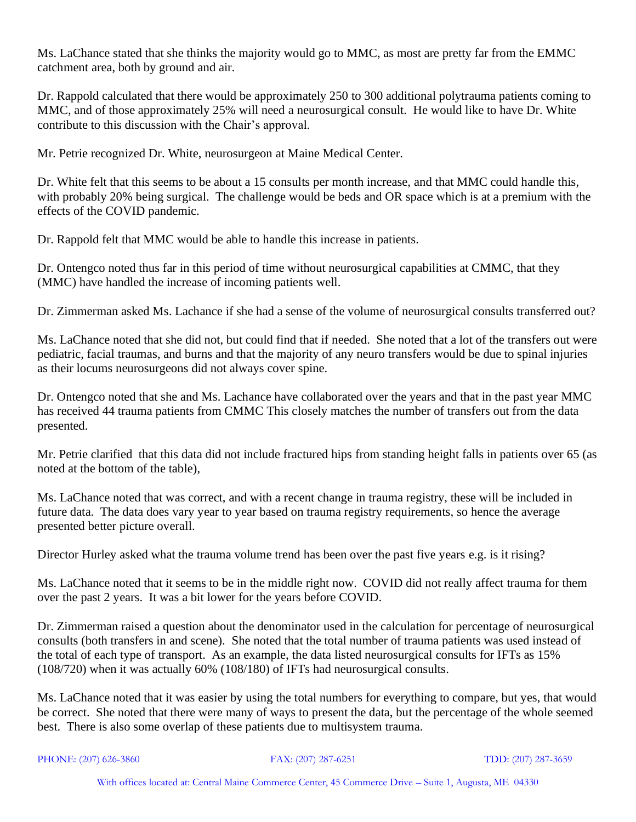Ms. LaChance stated that she thinks the majority would go to MMC, as most are pretty far from the EMMC catchment area, both by ground and air.

Dr. Rappold calculated that there would be approximately 250 to 300 additional polytrauma patients coming to MMC, and of those approximately 25% will need a neurosurgical consult. He would like to have Dr. White contribute to this discussion with the Chair's approval.

Mr. Petrie recognized Dr. White, neurosurgeon at Maine Medical Center.

Dr. White felt that this seems to be about a 15 consults per month increase, and that MMC could handle this, with probably 20% being surgical. The challenge would be beds and OR space which is at a premium with the effects of the COVID pandemic.

Dr. Rappold felt that MMC would be able to handle this increase in patients.

Dr. Ontengco noted thus far in this period of time without neurosurgical capabilities at CMMC, that they (MMC) have handled the increase of incoming patients well.

Dr. Zimmerman asked Ms. Lachance if she had a sense of the volume of neurosurgical consults transferred out?

Ms. LaChance noted that she did not, but could find that if needed. She noted that a lot of the transfers out were pediatric, facial traumas, and burns and that the majority of any neuro transfers would be due to spinal injuries as their locums neurosurgeons did not always cover spine.

Dr. Ontengco noted that she and Ms. Lachance have collaborated over the years and that in the past year MMC has received 44 trauma patients from CMMC This closely matches the number of transfers out from the data presented.

Mr. Petrie clarified that this data did not include fractured hips from standing height falls in patients over 65 (as noted at the bottom of the table),

Ms. LaChance noted that was correct, and with a recent change in trauma registry, these will be included in future data. The data does vary year to year based on trauma registry requirements, so hence the average presented better picture overall.

Director Hurley asked what the trauma volume trend has been over the past five years e.g. is it rising?

Ms. LaChance noted that it seems to be in the middle right now. COVID did not really affect trauma for them over the past 2 years. It was a bit lower for the years before COVID.

Dr. Zimmerman raised a question about the denominator used in the calculation for percentage of neurosurgical consults (both transfers in and scene). She noted that the total number of trauma patients was used instead of the total of each type of transport. As an example, the data listed neurosurgical consults for IFTs as 15% (108/720) when it was actually 60% (108/180) of IFTs had neurosurgical consults.

Ms. LaChance noted that it was easier by using the total numbers for everything to compare, but yes, that would be correct. She noted that there were many of ways to present the data, but the percentage of the whole seemed best. There is also some overlap of these patients due to multisystem trauma.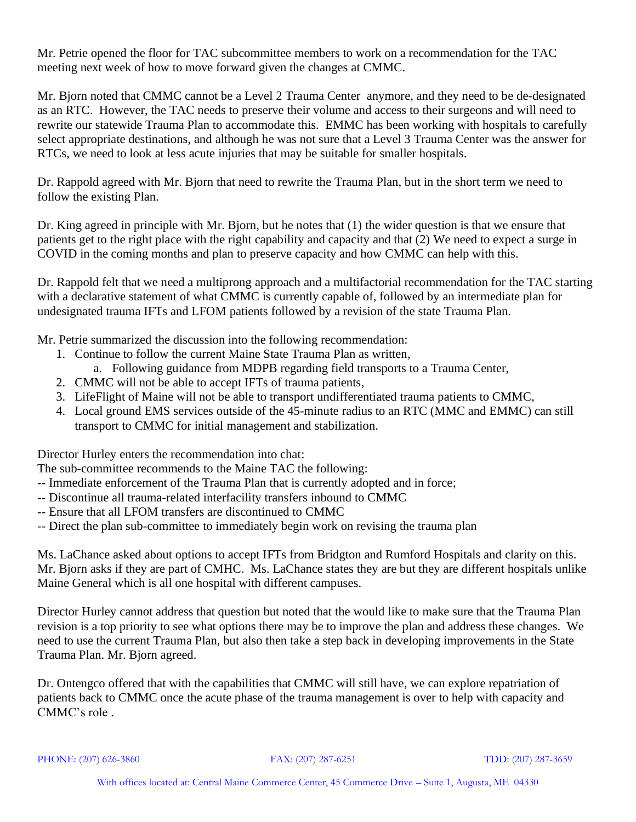Mr. Petrie opened the floor for TAC subcommittee members to work on a recommendation for the TAC meeting next week of how to move forward given the changes at CMMC.

Mr. Bjorn noted that CMMC cannot be a Level 2 Trauma Center anymore, and they need to be de-designated as an RTC. However, the TAC needs to preserve their volume and access to their surgeons and will need to rewrite our statewide Trauma Plan to accommodate this. EMMC has been working with hospitals to carefully select appropriate destinations, and although he was not sure that a Level 3 Trauma Center was the answer for RTCs, we need to look at less acute injuries that may be suitable for smaller hospitals.

Dr. Rappold agreed with Mr. Bjorn that need to rewrite the Trauma Plan, but in the short term we need to follow the existing Plan.

Dr. King agreed in principle with Mr. Bjorn, but he notes that (1) the wider question is that we ensure that patients get to the right place with the right capability and capacity and that (2) We need to expect a surge in COVID in the coming months and plan to preserve capacity and how CMMC can help with this.

Dr. Rappold felt that we need a multiprong approach and a multifactorial recommendation for the TAC starting with a declarative statement of what CMMC is currently capable of, followed by an intermediate plan for undesignated trauma IFTs and LFOM patients followed by a revision of the state Trauma Plan.

Mr. Petrie summarized the discussion into the following recommendation:

- 1. Continue to follow the current Maine State Trauma Plan as written,
	- a. Following guidance from MDPB regarding field transports to a Trauma Center,
- 2. CMMC will not be able to accept IFTs of trauma patients,
- 3. LifeFlight of Maine will not be able to transport undifferentiated trauma patients to CMMC,
- 4. Local ground EMS services outside of the 45-minute radius to an RTC (MMC and EMMC) can still transport to CMMC for initial management and stabilization.

Director Hurley enters the recommendation into chat:

The sub-committee recommends to the Maine TAC the following:

- -- Immediate enforcement of the Trauma Plan that is currently adopted and in force;
- -- Discontinue all trauma-related interfacility transfers inbound to CMMC
- -- Ensure that all LFOM transfers are discontinued to CMMC
- -- Direct the plan sub-committee to immediately begin work on revising the trauma plan

Ms. LaChance asked about options to accept IFTs from Bridgton and Rumford Hospitals and clarity on this. Mr. Bjorn asks if they are part of CMHC. Ms. LaChance states they are but they are different hospitals unlike Maine General which is all one hospital with different campuses.

Director Hurley cannot address that question but noted that the would like to make sure that the Trauma Plan revision is a top priority to see what options there may be to improve the plan and address these changes. We need to use the current Trauma Plan, but also then take a step back in developing improvements in the State Trauma Plan. Mr. Bjorn agreed.

Dr. Ontengco offered that with the capabilities that CMMC will still have, we can explore repatriation of patients back to CMMC once the acute phase of the trauma management is over to help with capacity and CMMC's role .

PHONE: (207) 626-3860 FAX: (207) 287-6251 TDD: (207) 287-3659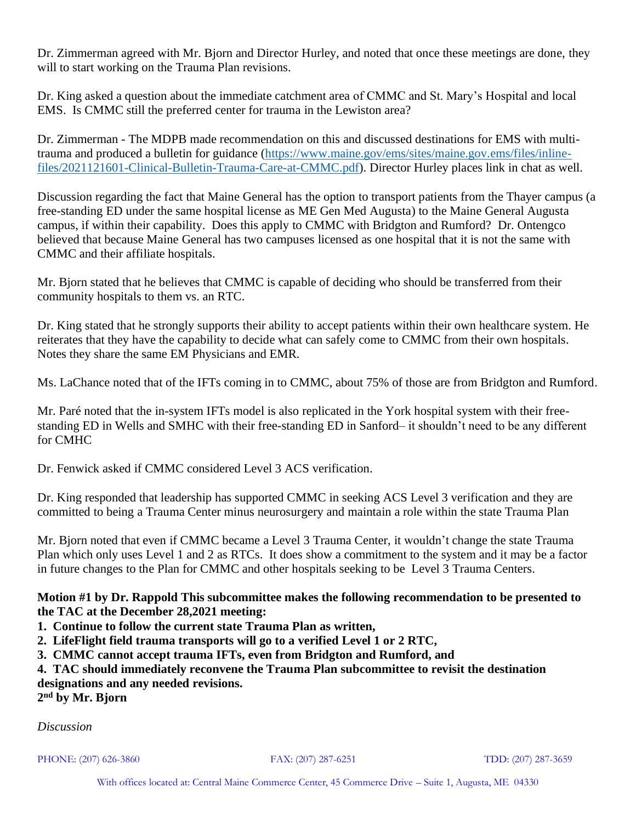Dr. Zimmerman agreed with Mr. Bjorn and Director Hurley, and noted that once these meetings are done, they will to start working on the Trauma Plan revisions.

Dr. King asked a question about the immediate catchment area of CMMC and St. Mary's Hospital and local EMS. Is CMMC still the preferred center for trauma in the Lewiston area?

Dr. Zimmerman - The MDPB made recommendation on this and discussed destinations for EMS with multitrauma and produced a bulletin for guidance [\(https://www.maine.gov/ems/sites/maine.gov.ems/files/inline](https://www.maine.gov/ems/sites/maine.gov.ems/files/inline-files/2021121601-Clinical-Bulletin-Trauma-Care-at-CMMC.pdf)[files/2021121601-Clinical-Bulletin-Trauma-Care-at-CMMC.pdf\)](https://www.maine.gov/ems/sites/maine.gov.ems/files/inline-files/2021121601-Clinical-Bulletin-Trauma-Care-at-CMMC.pdf). Director Hurley places link in chat as well.

Discussion regarding the fact that Maine General has the option to transport patients from the Thayer campus (a free-standing ED under the same hospital license as ME Gen Med Augusta) to the Maine General Augusta campus, if within their capability. Does this apply to CMMC with Bridgton and Rumford? Dr. Ontengco believed that because Maine General has two campuses licensed as one hospital that it is not the same with CMMC and their affiliate hospitals.

Mr. Bjorn stated that he believes that CMMC is capable of deciding who should be transferred from their community hospitals to them vs. an RTC.

Dr. King stated that he strongly supports their ability to accept patients within their own healthcare system. He reiterates that they have the capability to decide what can safely come to CMMC from their own hospitals. Notes they share the same EM Physicians and EMR.

Ms. LaChance noted that of the IFTs coming in to CMMC, about 75% of those are from Bridgton and Rumford.

Mr. Paré noted that the in-system IFTs model is also replicated in the York hospital system with their freestanding ED in Wells and SMHC with their free-standing ED in Sanford– it shouldn't need to be any different for CMHC

Dr. Fenwick asked if CMMC considered Level 3 ACS verification.

Dr. King responded that leadership has supported CMMC in seeking ACS Level 3 verification and they are committed to being a Trauma Center minus neurosurgery and maintain a role within the state Trauma Plan

Mr. Bjorn noted that even if CMMC became a Level 3 Trauma Center, it wouldn't change the state Trauma Plan which only uses Level 1 and 2 as RTCs. It does show a commitment to the system and it may be a factor in future changes to the Plan for CMMC and other hospitals seeking to be Level 3 Trauma Centers.

## **Motion #1 by Dr. Rappold This subcommittee makes the following recommendation to be presented to the TAC at the December 28,2021 meeting:**

- **1. Continue to follow the current state Trauma Plan as written,**
- **2. LifeFlight field trauma transports will go to a verified Level 1 or 2 RTC,**
- **3. CMMC cannot accept trauma IFTs, even from Bridgton and Rumford, and**

**4. TAC should immediately reconvene the Trauma Plan subcommittee to revisit the destination designations and any needed revisions.**

**2 nd by Mr. Bjorn**

*Discussion*

PHONE: (207) 626-3860 FAX: (207) 287-6251 TDD: (207) 287-3659